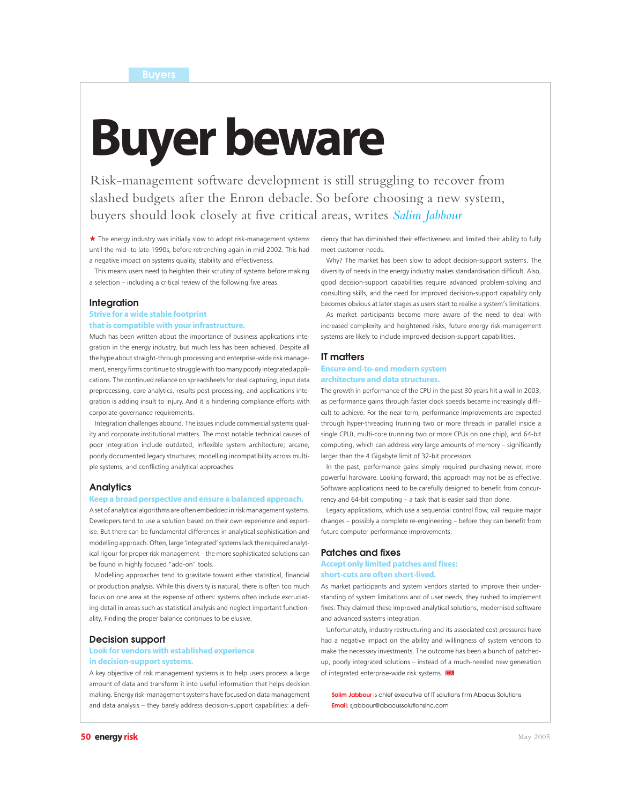# Buyer beware

Risk-management software development is still struggling to recover from slashed budgets after the Enron debacle. So before choosing a new system, buyers should look closely at five critical areas, writes *Salim Jabbour*

 $\star$  The energy industry was initially slow to adopt risk-management systems until the mid- to late-1990s, before retrenching again in mid-2002. This had a negative impact on systems quality, stability and effectiveness.

This means users need to heighten their scrutiny of systems before making a selection – including a critical review of the following five areas.

#### **Integration**

# Strive for a wide stable footprint

that is compatible with your infrastructure.

Much has been written about the importance of business applications integration in the energy industry, but much less has been achieved. Despite all the hype about straight-through processing and enterprise-wide risk management, energy firms continue to struggle with too many poorly integrated applications. The continued reliance on spreadsheets for deal capturing, input data preprocessing, core analytics, results post-processing, and applications integration is adding insult to injury. And it is hindering compliance efforts with corporate governance requirements.

Integration challenges abound. The issues include commercial systems quality and corporate institutional matters. The most notable technical causes of poor integration include outdated, inflexible system architecture; arcane, poorly documented legacy structures; modelling incompatibility across multiple systems; and conflicting analytical approaches.

#### **Analytics**

#### Keep a broad perspective and ensure a balanced approach.

A set of analytical algorithms are often embedded in risk management systems. Developers tend to use a solution based on their own experience and expertise. But there can be fundamental differences in analytical sophistication and modelling approach. Often, large 'integrated' systems lack the required analytical rigour for proper risk management – the more sophisticated solutions can be found in highly focused "add-on" tools.

Modelling approaches tend to gravitate toward either statistical, financial or production analysis. While this diversity is natural, there is often too much focus on one area at the expense of others: systems often include excruciating detail in areas such as statistical analysis and neglect important functionality. Finding the proper balance continues to be elusive.

#### **Decision support**

# Look for vendors with established experience in decision-support systems.

A key objective of risk management systems is to help users process a large amount of data and transform it into useful information that helps decision making. Energy risk-management systems have focused on data management and data analysis – they barely address decision-support capabilities: a deficiency that has diminished their effectiveness and limited their ability to fully meet customer needs.

Why? The market has been slow to adopt decision-support systems. The diversity of needs in the energy industry makes standardisation difficult. Also, good decision-support capabilities require advanced problem-solving and consulting skills, and the need for improved decision-support capability only becomes obvious at later stages as users start to realise a system's limitations.

As market participants become more aware of the need to deal with increased complexity and heightened risks, future energy risk-management systems are likely to include improved decision-support capabilities.

#### **IT matters**

# Ensure end-to-end modern system architecture and data structures.

The growth in performance of the CPU in the past 30 years hit a wall in 2003, as performance gains through faster clock speeds became increasingly difficult to achieve. For the near term, performance improvements are expected through hyper-threading (running two or more threads in parallel inside a single CPU), multi-core (running two or more CPUs on one chip), and 64-bit computing, which can address very large amounts of memory – significantly larger than the 4 Gigabyte limit of 32-bit processors.

In the past, performance gains simply required purchasing newer, more powerful hardware. Looking forward, this approach may not be as effective. Software applications need to be carefully designed to benefit from concurrency and 64-bit computing – a task that is easier said than done.

Legacy applications, which use a sequential control flow, will require major changes – possibly a complete re-engineering – before they can benefit from future computer performance improvements.

#### **Patches and fixes**

# Accept only limited patches and fixes: short-cuts are often short-lived.

As market participants and system vendors started to improve their understanding of system limitations and of user needs, they rushed to implement fixes. They claimed these improved analytical solutions, modernised software and advanced systems integration.

Unfortunately, industry restructuring and its associated cost pressures have had a negative impact on the ability and willingness of system vendors to make the necessary investments. The outcome has been a bunch of patchedup, poorly integrated solutions – instead of a much-needed new generation of integrated enterprise-wide risk systems. ER

**Salim Jabbour** is chief executive of IT solutions firm Abacus Solutions **Email:** sjabbour@abacussolutionsinc.com